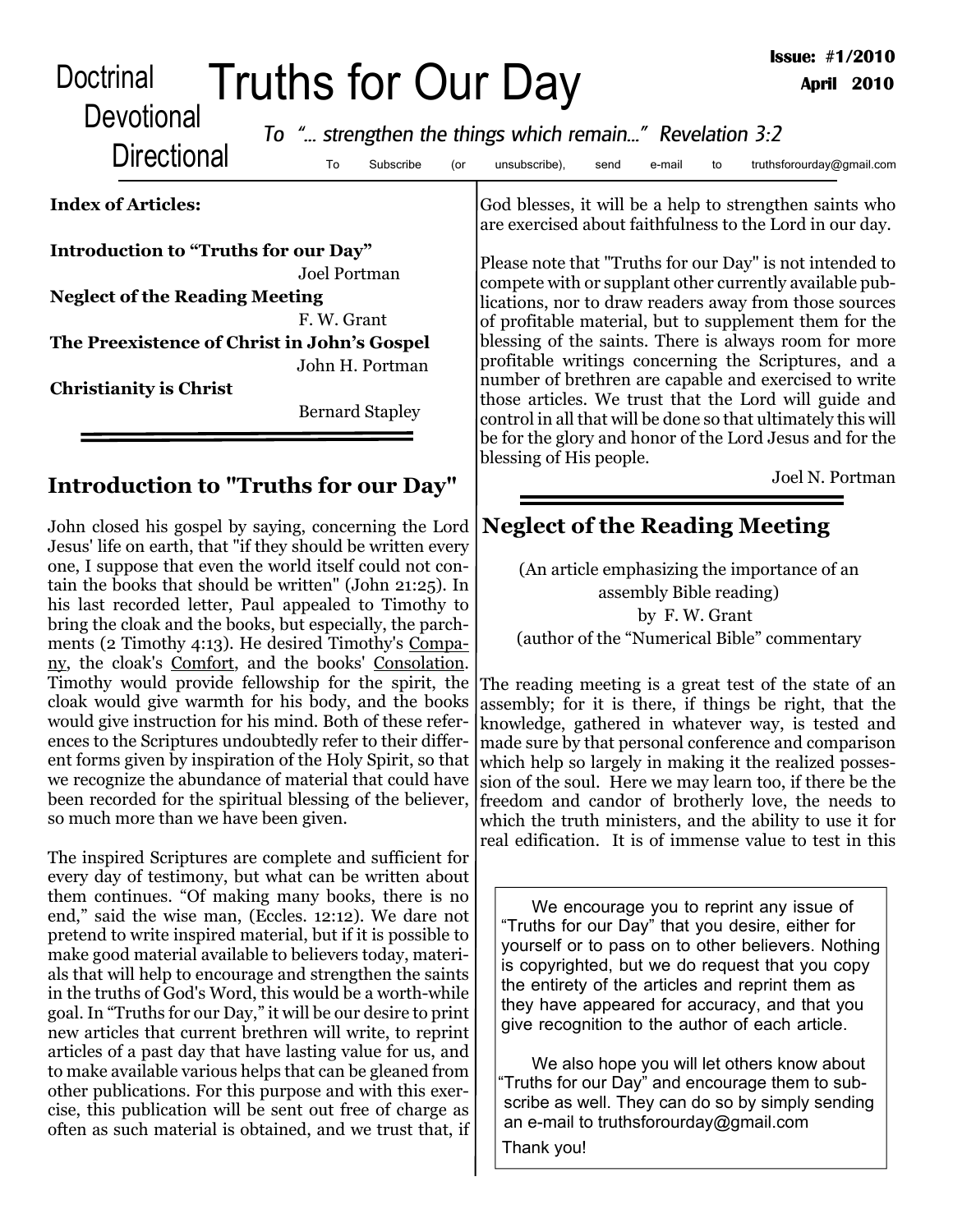| Doctrinal<br>Devotional                                                                                                                                                               | Truths for Our Day<br>To " strengthen the things which remain" Revelation 3:2 |     |                                                                                                                                                                               |                        |        |    | <b>Issue: #1/2010</b>                                                                                               | <b>April 2010</b> |
|---------------------------------------------------------------------------------------------------------------------------------------------------------------------------------------|-------------------------------------------------------------------------------|-----|-------------------------------------------------------------------------------------------------------------------------------------------------------------------------------|------------------------|--------|----|---------------------------------------------------------------------------------------------------------------------|-------------------|
| <b>Directional</b>                                                                                                                                                                    | To<br>Subscribe                                                               | (or | unsubscribe),                                                                                                                                                                 | send                   | e-mail | to | truthsforourday@gmail.com                                                                                           |                   |
| <b>Index of Articles:</b>                                                                                                                                                             |                                                                               |     |                                                                                                                                                                               |                        |        |    | God blesses, it will be a help to strengthen saints who<br>are exercised about faithfulness to the Lord in our day. |                   |
| Introduction to "Truths for our Day"<br><b>Joel Portman</b><br><b>Neglect of the Reading Meeting</b><br>F. W. Grant<br>The Preexistence of Christ in John's Gospel<br>John H. Portman |                                                                               |     | Please note that "Truths for our Day" is not intended to<br>compete with or supplant other currently available pub-<br>lications, nor to draw readers away from those sources |                        |        |    |                                                                                                                     |                   |
|                                                                                                                                                                                       |                                                                               |     |                                                                                                                                                                               |                        |        |    |                                                                                                                     |                   |
|                                                                                                                                                                                       |                                                                               |     | <b>Christianity is Christ</b>                                                                                                                                                 | <b>Bernard Stapley</b> |        |    |                                                                                                                     |                   |

## **Introduction to "Truths for our Day"**

John closed his gospel by saying, concerning the Lord Jesus' life on earth, that "if they should be written every one, I suppose that even the world itself could not contain the books that should be written" (John 21:25). In his last recorded letter, Paul appealed to Timothy to bring the cloak and the books, but especially, the parchments (2 Timothy 4:13). He desired Timothy's Company, the cloak's Comfort, and the books' Consolation. Timothy would provide fellowship for the spirit, the cloak would give warmth for his body, and the books would give instruction for his mind. Both of these references to the Scriptures undoubtedly refer to their different forms given by inspiration of the Holy Spirit, so that we recognize the abundance of material that could have been recorded for the spiritual blessing of the believer, so much more than we have been given.

The inspired Scriptures are complete and sufficient for every day of testimony, but what can be written about them continues. "Of making many books, there is no end," said the wise man, (Eccles. 12:12). We dare not pretend to write inspired material, but if it is possible to make good material available to believers today, materials that will help to encourage and strengthen the saints in the truths of God's Word, this would be a worth-while goal. In "Truths for our Day," it will be our desire to print new articles that current brethren will write, to reprint articles of a past day that have lasting value for us, and to make available various helps that can be gleaned from other publications. For this purpose and with this exercise, this publication will be sent out free of charge as often as such material is obtained, and we trust that, if

control in all that will be done so that ultimately this will be for the glory and honor of the Lord Jesus and for the blessing of His people.

Joel N. Portman

## **Neglect of the Reading Meeting**

(An article emphasizing the importance of an assembly Bible reading) by F. W. Grant (author of the "Numerical Bible" commentary

The reading meeting is a great test of the state of an assembly; for it is there, if things be right, that the knowledge, gathered in whatever way, is tested and made sure by that personal conference and comparison which help so largely in making it the realized possession of the soul. Here we may learn too, if there be the freedom and candor of brotherly love, the needs to which the truth ministers, and the ability to use it for real edification. It is of immense value to test in this

We encourage you to reprint any issue of "Truths for our Day" that you desire, either for yourself or to pass on to other believers. Nothing is copyrighted, but we do request that you copy the entirety of the articles and reprint them as they have appeared for accuracy, and that you give recognition to the author of each article.

We also hope you will let others know about "Truths for our Day" and encourage them to subscribe as well. They can do so by simply sending an e-mail to truthsforourday@gmail.com Thank you!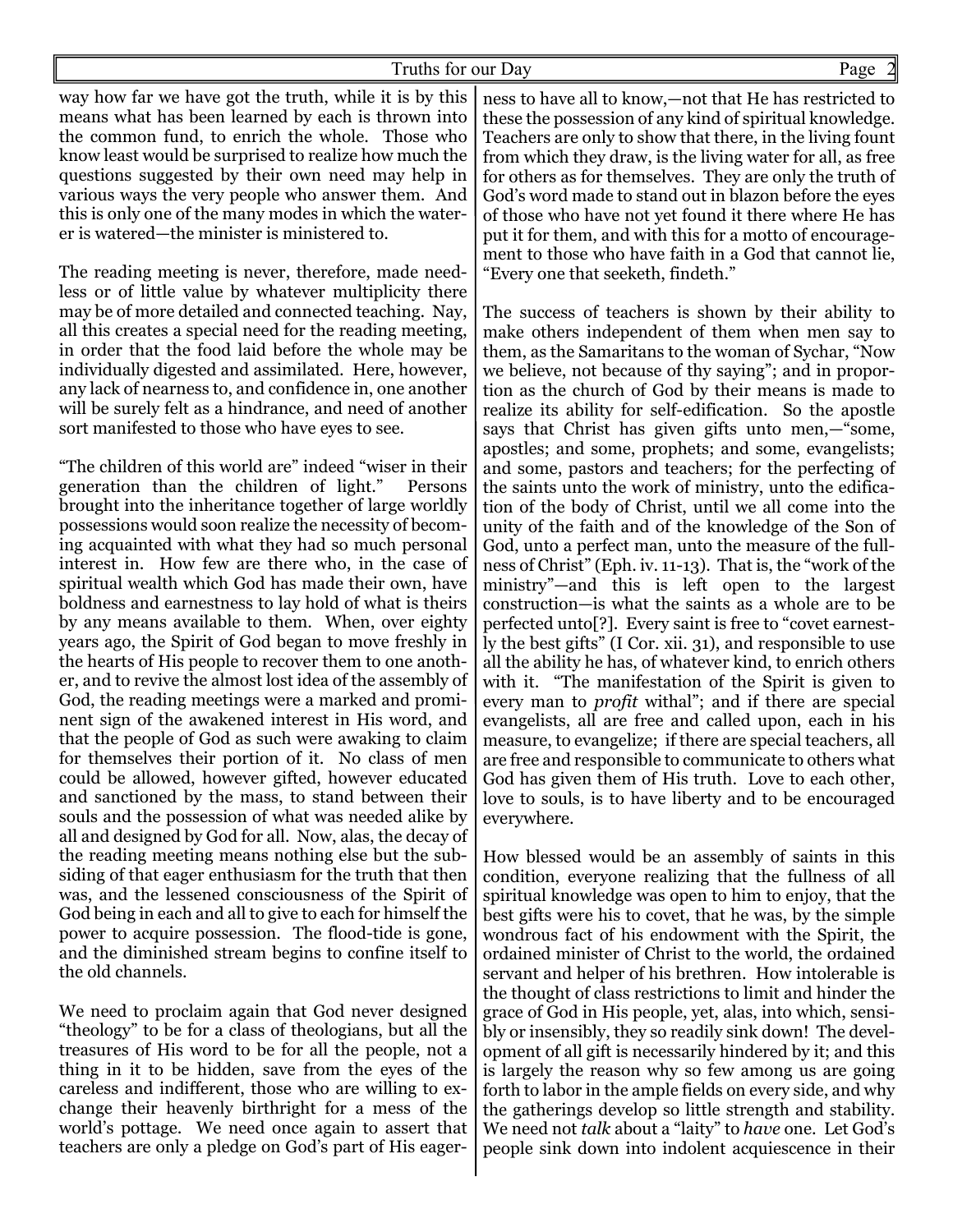way how far we have got the truth, while it is by this means what has been learned by each is thrown into the common fund, to enrich the whole. Those who know least would be surprised to realize how much the questions suggested by their own need may help in various ways the very people who answer them. And this is only one of the many modes in which the waterer is watered—the minister is ministered to.

The reading meeting is never, therefore, made needless or of little value by whatever multiplicity there may be of more detailed and connected teaching. Nay, all this creates a special need for the reading meeting, in order that the food laid before the whole may be individually digested and assimilated. Here, however, any lack of nearness to, and confidence in, one another will be surely felt as a hindrance, and need of another sort manifested to those who have eyes to see.

"The children of this world are" indeed "wiser in their generation than the children of light." Persons brought into the inheritance together of large worldly possessions would soon realize the necessity of becoming acquainted with what they had so much personal interest in. How few are there who, in the case of spiritual wealth which God has made their own, have boldness and earnestness to lay hold of what is theirs by any means available to them. When, over eighty years ago, the Spirit of God began to move freshly in the hearts of His people to recover them to one another, and to revive the almost lost idea of the assembly of God, the reading meetings were a marked and prominent sign of the awakened interest in His word, and that the people of God as such were awaking to claim for themselves their portion of it. No class of men could be allowed, however gifted, however educated and sanctioned by the mass, to stand between their souls and the possession of what was needed alike by all and designed by God for all. Now, alas, the decay of the reading meeting means nothing else but the subsiding of that eager enthusiasm for the truth that then was, and the lessened consciousness of the Spirit of God being in each and all to give to each for himself the power to acquire possession. The flood-tide is gone, and the diminished stream begins to confine itself to the old channels.

We need to proclaim again that God never designed "theology" to be for a class of theologians, but all the treasures of His word to be for all the people, not a thing in it to be hidden, save from the eyes of the careless and indifferent, those who are willing to exchange their heavenly birthright for a mess of the world's pottage. We need once again to assert that teachers are only a pledge on God's part of His eager-

ness to have all to know,—not that He has restricted to these the possession of any kind of spiritual knowledge. Teachers are only to show that there, in the living fount from which they draw, is the living water for all, as free for others as for themselves. They are only the truth of God's word made to stand out in blazon before the eyes of those who have not yet found it there where He has put it for them, and with this for a motto of encouragement to those who have faith in a God that cannot lie, "Every one that seeketh, findeth."

The success of teachers is shown by their ability to make others independent of them when men say to them, as the Samaritans to the woman of Sychar, "Now we believe, not because of thy saying"; and in proportion as the church of God by their means is made to realize its ability for self-edification. So the apostle says that Christ has given gifts unto men,—"some, apostles; and some, prophets; and some, evangelists; and some, pastors and teachers; for the perfecting of the saints unto the work of ministry, unto the edification of the body of Christ, until we all come into the unity of the faith and of the knowledge of the Son of God, unto a perfect man, unto the measure of the fullness of Christ" (Eph. iv. 11-13). That is, the "work of the ministry"—and this is left open to the largest construction—is what the saints as a whole are to be perfected unto[?]. Every saint is free to "covet earnestly the best gifts" (I Cor. xii. 31), and responsible to use all the ability he has, of whatever kind, to enrich others with it. "The manifestation of the Spirit is given to every man to *profit* withal"; and if there are special evangelists, all are free and called upon, each in his measure, to evangelize; if there are special teachers, all are free and responsible to communicate to others what God has given them of His truth. Love to each other, love to souls, is to have liberty and to be encouraged everywhere.

How blessed would be an assembly of saints in this condition, everyone realizing that the fullness of all spiritual knowledge was open to him to enjoy, that the best gifts were his to covet, that he was, by the simple wondrous fact of his endowment with the Spirit, the ordained minister of Christ to the world, the ordained servant and helper of his brethren. How intolerable is the thought of class restrictions to limit and hinder the grace of God in His people, yet, alas, into which, sensibly or insensibly, they so readily sink down! The development of all gift is necessarily hindered by it; and this is largely the reason why so few among us are going forth to labor in the ample fields on every side, and why the gatherings develop so little strength and stability. We need not *talk* about a "laity" to *have* one. Let God's people sink down into indolent acquiescence in their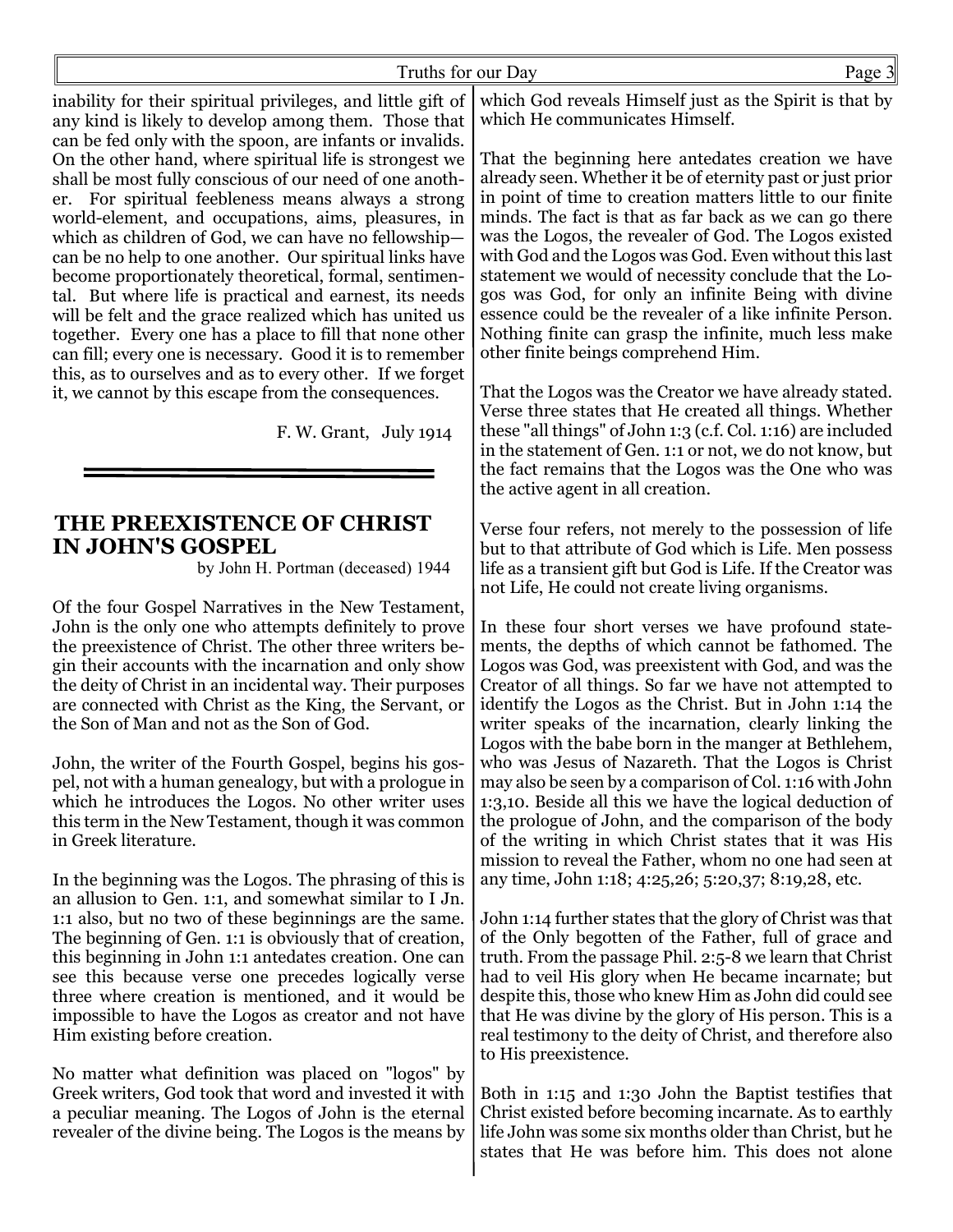inability for their spiritual privileges, and little gift of any kind is likely to develop among them. Those that can be fed only with the spoon, are infants or invalids. On the other hand, where spiritual life is strongest we shall be most fully conscious of our need of one another. For spiritual feebleness means always a strong world-element, and occupations, aims, pleasures, in which as children of God, we can have no fellowship can be no help to one another. Our spiritual links have become proportionately theoretical, formal, sentimental. But where life is practical and earnest, its needs will be felt and the grace realized which has united us together. Every one has a place to fill that none other can fill; every one is necessary. Good it is to remember this, as to ourselves and as to every other. If we forget it, we cannot by this escape from the consequences.

F. W. Grant, July 1914

## **THE PREEXISTENCE OF CHRIST IN JOHN'S GOSPEL**

by John H. Portman (deceased) 1944

Of the four Gospel Narratives in the New Testament, John is the only one who attempts definitely to prove the preexistence of Christ. The other three writers begin their accounts with the incarnation and only show the deity of Christ in an incidental way. Their purposes are connected with Christ as the King, the Servant, or the Son of Man and not as the Son of God.

John, the writer of the Fourth Gospel, begins his gospel, not with a human genealogy, but with a prologue in which he introduces the Logos. No other writer uses this term in the New Testament, though it was common in Greek literature.

In the beginning was the Logos. The phrasing of this is an allusion to Gen. 1:1, and somewhat similar to I Jn. 1:1 also, but no two of these beginnings are the same. The beginning of Gen. 1:1 is obviously that of creation, this beginning in John 1:1 antedates creation. One can see this because verse one precedes logically verse three where creation is mentioned, and it would be impossible to have the Logos as creator and not have Him existing before creation.

No matter what definition was placed on "logos" by Greek writers, God took that word and invested it with a peculiar meaning. The Logos of John is the eternal revealer of the divine being. The Logos is the means by

which God reveals Himself just as the Spirit is that by which He communicates Himself.

That the beginning here antedates creation we have already seen. Whether it be of eternity past or just prior in point of time to creation matters little to our finite minds. The fact is that as far back as we can go there was the Logos, the revealer of God. The Logos existed with God and the Logos was God. Even without this last statement we would of necessity conclude that the Logos was God, for only an infinite Being with divine essence could be the revealer of a like infinite Person. Nothing finite can grasp the infinite, much less make other finite beings comprehend Him.

That the Logos was the Creator we have already stated. Verse three states that He created all things. Whether these "all things" of John 1:3 (c.f. Col. 1:16) are included in the statement of Gen. 1:1 or not, we do not know, but the fact remains that the Logos was the One who was the active agent in all creation.

Verse four refers, not merely to the possession of life but to that attribute of God which is Life. Men possess life as a transient gift but God is Life. If the Creator was not Life, He could not create living organisms.

In these four short verses we have profound statements, the depths of which cannot be fathomed. The Logos was God, was preexistent with God, and was the Creator of all things. So far we have not attempted to identify the Logos as the Christ. But in John 1:14 the writer speaks of the incarnation, clearly linking the Logos with the babe born in the manger at Bethlehem, who was Jesus of Nazareth. That the Logos is Christ may also be seen by a comparison of Col. 1:16 with John 1:3,10. Beside all this we have the logical deduction of the prologue of John, and the comparison of the body of the writing in which Christ states that it was His mission to reveal the Father, whom no one had seen at any time, John 1:18; 4:25,26; 5:20,37; 8:19,28, etc.

John 1:14 further states that the glory of Christ was that of the Only begotten of the Father, full of grace and truth. From the passage Phil. 2:5-8 we learn that Christ had to veil His glory when He became incarnate; but despite this, those who knew Him as John did could see that He was divine by the glory of His person. This is a real testimony to the deity of Christ, and therefore also to His preexistence.

Both in 1:15 and 1:30 John the Baptist testifies that Christ existed before becoming incarnate. As to earthly life John was some six months older than Christ, but he states that He was before him. This does not alone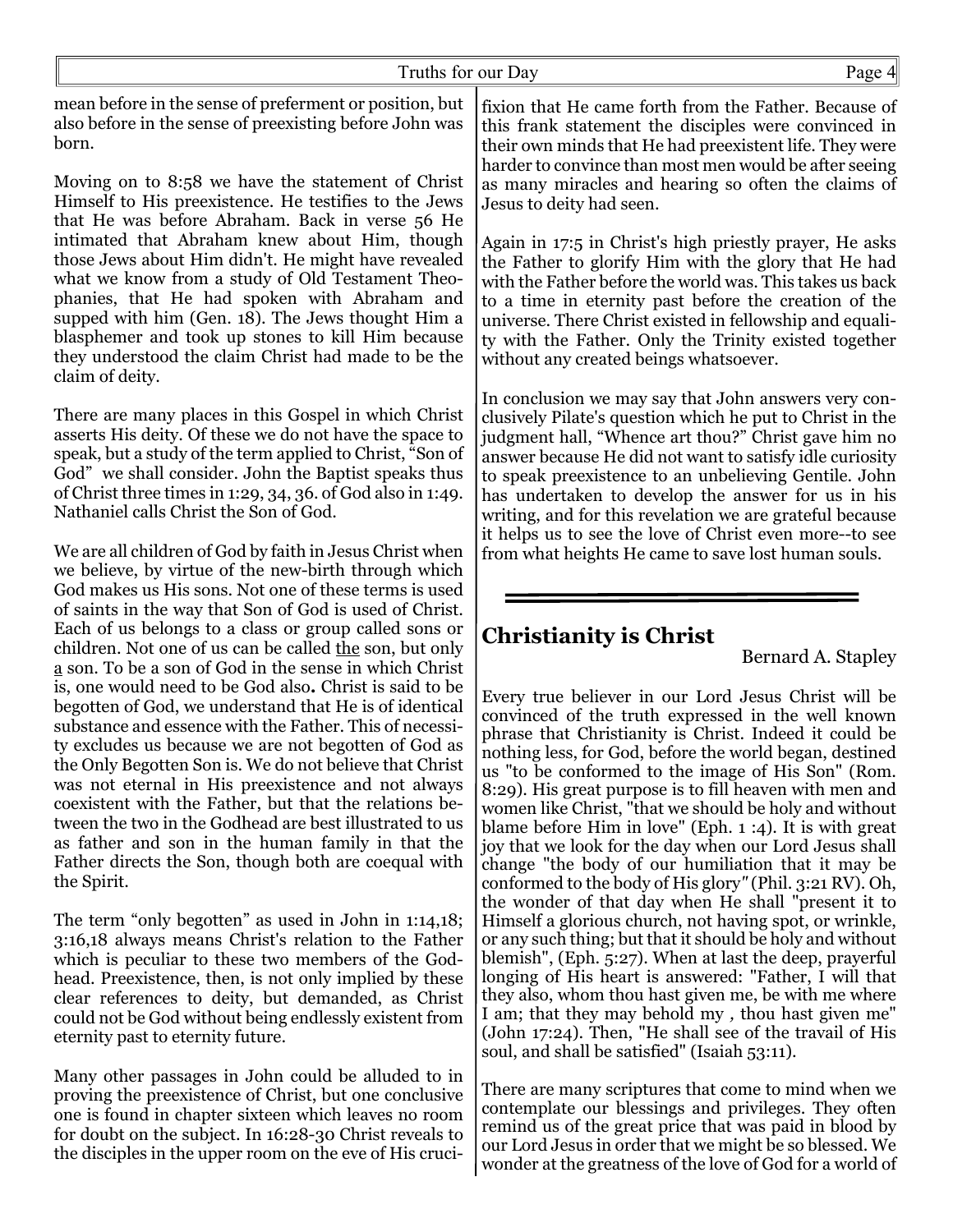| Truths for our Day                                                                                                                                                                                                                                                                                                                                                                                                                                                                                                                                                                                     | Page 4                                                                                                                                                                                                                                                                                                                                                                                                                                                                                                                                                                                                                                                                                                     |  |  |  |
|--------------------------------------------------------------------------------------------------------------------------------------------------------------------------------------------------------------------------------------------------------------------------------------------------------------------------------------------------------------------------------------------------------------------------------------------------------------------------------------------------------------------------------------------------------------------------------------------------------|------------------------------------------------------------------------------------------------------------------------------------------------------------------------------------------------------------------------------------------------------------------------------------------------------------------------------------------------------------------------------------------------------------------------------------------------------------------------------------------------------------------------------------------------------------------------------------------------------------------------------------------------------------------------------------------------------------|--|--|--|
| mean before in the sense of preferment or position, but<br>also before in the sense of preexisting before John was<br>born.                                                                                                                                                                                                                                                                                                                                                                                                                                                                            | fixion that He came forth from the Father. Because of<br>this frank statement the disciples were convinced in<br>their own minds that He had preexistent life. They were<br>harder to convince than most men would be after seeing                                                                                                                                                                                                                                                                                                                                                                                                                                                                         |  |  |  |
| Moving on to 8:58 we have the statement of Christ<br>Himself to His preexistence. He testifies to the Jews<br>that He was before Abraham. Back in verse 56 He                                                                                                                                                                                                                                                                                                                                                                                                                                          | as many miracles and hearing so often the claims of<br>Jesus to deity had seen.                                                                                                                                                                                                                                                                                                                                                                                                                                                                                                                                                                                                                            |  |  |  |
| intimated that Abraham knew about Him, though<br>those Jews about Him didn't. He might have revealed<br>what we know from a study of Old Testament Theo-<br>phanies, that He had spoken with Abraham and<br>supped with him (Gen. 18). The Jews thought Him a<br>blasphemer and took up stones to kill Him because<br>they understood the claim Christ had made to be the<br>claim of deity.                                                                                                                                                                                                           | Again in 17:5 in Christ's high priestly prayer, He asks<br>the Father to glorify Him with the glory that He had<br>with the Father before the world was. This takes us back<br>to a time in eternity past before the creation of the<br>universe. There Christ existed in fellowship and equali-<br>ty with the Father. Only the Trinity existed together<br>without any created beings whatsoever.                                                                                                                                                                                                                                                                                                        |  |  |  |
| There are many places in this Gospel in which Christ<br>asserts His deity. Of these we do not have the space to<br>speak, but a study of the term applied to Christ, "Son of<br>God" we shall consider. John the Baptist speaks thus<br>of Christ three times in 1:29, 34, 36. of God also in 1:49.<br>Nathaniel calls Christ the Son of God.                                                                                                                                                                                                                                                          | In conclusion we may say that John answers very con-<br>clusively Pilate's question which he put to Christ in the<br>judgment hall, "Whence art thou?" Christ gave him no<br>answer because He did not want to satisfy idle curiosity<br>to speak preexistence to an unbelieving Gentile. John<br>has undertaken to develop the answer for us in his<br>writing, and for this revelation we are grateful because<br>it helps us to see the love of Christ even more-to see                                                                                                                                                                                                                                 |  |  |  |
| We are all children of God by faith in Jesus Christ when<br>we believe, by virtue of the new-birth through which<br>God makes us His sons. Not one of these terms is used<br>of saints in the way that Son of God is used of Christ.                                                                                                                                                                                                                                                                                                                                                                   | from what heights He came to save lost human souls.                                                                                                                                                                                                                                                                                                                                                                                                                                                                                                                                                                                                                                                        |  |  |  |
| Each of us belongs to a class or group called sons or                                                                                                                                                                                                                                                                                                                                                                                                                                                                                                                                                  | <b>Christianity is Christ</b>                                                                                                                                                                                                                                                                                                                                                                                                                                                                                                                                                                                                                                                                              |  |  |  |
| children. Not one of us can be called the son, but only<br>$\underline{a}$ son. To be a son of God in the sense in which Christ                                                                                                                                                                                                                                                                                                                                                                                                                                                                        | Bernard A. Stapley                                                                                                                                                                                                                                                                                                                                                                                                                                                                                                                                                                                                                                                                                         |  |  |  |
| is, one would need to be God also. Christ is said to be<br>begotten of God, we understand that He is of identical<br>substance and essence with the Father. This of necessi-<br>ty excludes us because we are not begotten of God as<br>the Only Begotten Son is. We do not believe that Christ<br>was not eternal in His preexistence and not always<br>coexistent with the Father, but that the relations be-<br>tween the two in the Godhead are best illustrated to us<br>as father and son in the human family in that the<br>Father directs the Son, though both are coequal with<br>the Spirit. | Every true believer in our Lord Jesus Christ will be<br>convinced of the truth expressed in the well known<br>phrase that Christianity is Christ. Indeed it could be<br>nothing less, for God, before the world began, destined<br>us "to be conformed to the image of His Son" (Rom.<br>8:29). His great purpose is to fill heaven with men and<br>women like Christ, "that we should be holy and without<br>blame before Him in love" (Eph. $1:4$ ). It is with great<br>joy that we look for the day when our Lord Jesus shall<br>change "the body of our humiliation that it may be<br>conformed to the body of His glory" (Phil. 3:21 RV). Oh,<br>the wonder of that day when He shall "present it to |  |  |  |
| The term "only begotten" as used in John in $1:14,18$ ;<br>3:16,18 always means Christ's relation to the Father<br>which is peculiar to these two members of the God-<br>head. Preexistence, then, is not only implied by these<br>clear references to deity, but demanded, as Christ<br>could not be God without being endlessly existent from<br>eternity past to eternity future.                                                                                                                                                                                                                   | Himself a glorious church, not having spot, or wrinkle,<br>or any such thing; but that it should be holy and without<br>blemish", (Eph. 5:27). When at last the deep, prayerful<br>longing of His heart is answered: "Father, I will that<br>they also, whom thou hast given me, be with me where<br>I am; that they may behold my, thou hast given me"<br>(John 17:24). Then, "He shall see of the travail of His<br>soul, and shall be satisfied" (Isaiah 53:11).                                                                                                                                                                                                                                        |  |  |  |
| Many other passages in John could be alluded to in<br>proving the preexistence of Christ, but one conclusive                                                                                                                                                                                                                                                                                                                                                                                                                                                                                           | There are many scriptures that come to mind when we                                                                                                                                                                                                                                                                                                                                                                                                                                                                                                                                                                                                                                                        |  |  |  |

proving the preexistence of Christ, but one conclusive one is found in chapter sixteen which leaves no room for doubt on the subject. In 16:28-30 Christ reveals to the disciples in the upper room on the eve of His cruci-

contemplate our blessings and privileges. They often remind us of the great price that was paid in blood by our Lord Jesus in order that we might be so blessed. We wonder at the greatness of the love of God for a world of